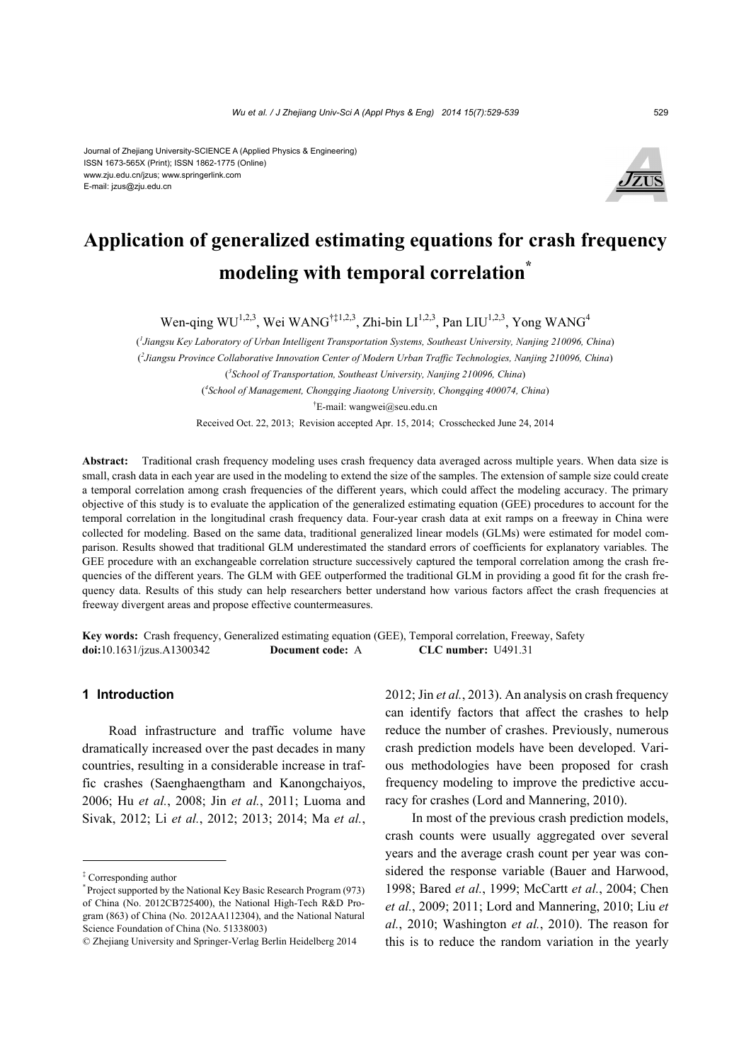#### Journal of Zhejiang University-SCIENCE A (Applied Physics & Engineering) ISSN 1673-565X (Print); ISSN 1862-1775 (Online) www.zju.edu.cn/jzus; www.springerlink.com E-mail: jzus@zju.edu.cn



# **Application of generalized estimating equations for crash frequency modeling with temporal correlation\***

Wen-qing WU<sup>1,2,3</sup>, Wei WANG<sup>†‡1,2,3</sup>, Zhi-bin LI<sup>1,2,3</sup>, Pan LIU<sup>1,2,3</sup>, Yong WANG<sup>4</sup>

( *1 Jiangsu Key Laboratory of Urban Intelligent Transportation Systems, Southeast University, Nanjing 210096, China*) ( *2 Jiangsu Province Collaborative Innovation Center of Modern Urban Traffic Technologies, Nanjing 210096, China*) ( *3 School of Transportation, Southeast University, Nanjing 210096, China*) ( *4 School of Management, Chongqing Jiaotong University, Chongqing 400074, China*) † E-mail: wangwei@seu.edu.cn

Received Oct. 22, 2013; Revision accepted Apr. 15, 2014; Crosschecked June 24, 2014

**Abstract:** Traditional crash frequency modeling uses crash frequency data averaged across multiple years. When data size is small, crash data in each year are used in the modeling to extend the size of the samples. The extension of sample size could create a temporal correlation among crash frequencies of the different years, which could affect the modeling accuracy. The primary objective of this study is to evaluate the application of the generalized estimating equation (GEE) procedures to account for the temporal correlation in the longitudinal crash frequency data. Four-year crash data at exit ramps on a freeway in China were collected for modeling. Based on the same data, traditional generalized linear models (GLMs) were estimated for model comparison. Results showed that traditional GLM underestimated the standard errors of coefficients for explanatory variables. The GEE procedure with an exchangeable correlation structure successively captured the temporal correlation among the crash frequencies of the different years. The GLM with GEE outperformed the traditional GLM in providing a good fit for the crash frequency data. Results of this study can help researchers better understand how various factors affect the crash frequencies at freeway divergent areas and propose effective countermeasures.

**Key words:** Crash frequency, Generalized estimating equation (GEE), Temporal correlation, Freeway, Safety **doi:**10.1631/jzus.A1300342 **Document code:** A **CLC number:** U491.31

#### **1 Introduction**

Road infrastructure and traffic volume have dramatically increased over the past decades in many countries, resulting in a considerable increase in traffic crashes (Saenghaengtham and Kanongchaiyos, 2006; Hu *et al.*, 2008; Jin *et al.*, 2011; Luoma and Sivak, 2012; Li *et al.*, 2012; 2013; 2014; Ma *et al.*,

2012; Jin *et al.*, 2013). An analysis on crash frequency can identify factors that affect the crashes to help reduce the number of crashes. Previously, numerous crash prediction models have been developed. Various methodologies have been proposed for crash frequency modeling to improve the predictive accuracy for crashes (Lord and Mannering, 2010).

In most of the previous crash prediction models, crash counts were usually aggregated over several years and the average crash count per year was considered the response variable (Bauer and Harwood, 1998; Bared *et al.*, 1999; McCartt *et al.*, 2004; Chen *et al.*, 2009; 2011; Lord and Mannering, 2010; Liu *et al.*, 2010; Washington *et al.*, 2010). The reason for this is to reduce the random variation in the yearly

<sup>‡</sup> Corresponding author

<sup>\*</sup> Project supported by the National Key Basic Research Program (973) of China (No. 2012CB725400), the National High-Tech R&D Program (863) of China (No. 2012AA112304), and the National Natural Science Foundation of China (No. 51338003)

<sup>©</sup> Zhejiang University and Springer-Verlag Berlin Heidelberg 2014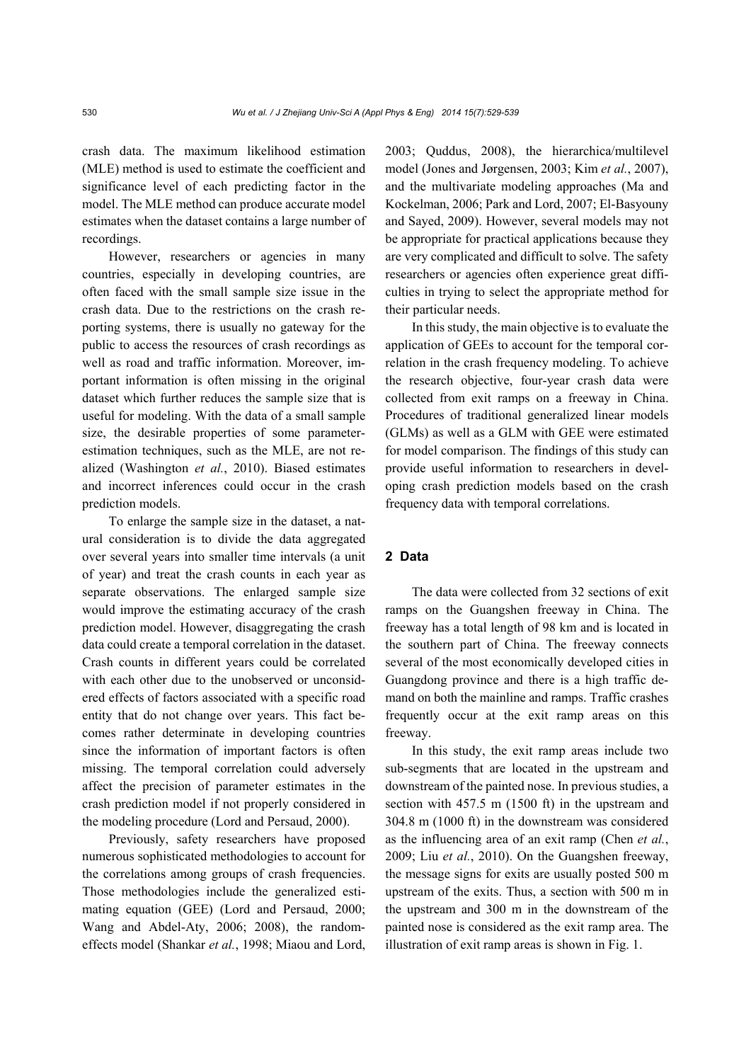crash data. The maximum likelihood estimation (MLE) method is used to estimate the coefficient and significance level of each predicting factor in the model. The MLE method can produce accurate model estimates when the dataset contains a large number of recordings.

However, researchers or agencies in many countries, especially in developing countries, are often faced with the small sample size issue in the crash data. Due to the restrictions on the crash reporting systems, there is usually no gateway for the public to access the resources of crash recordings as well as road and traffic information. Moreover, important information is often missing in the original dataset which further reduces the sample size that is useful for modeling. With the data of a small sample size, the desirable properties of some parameterestimation techniques, such as the MLE, are not realized (Washington *et al.*, 2010). Biased estimates and incorrect inferences could occur in the crash prediction models.

To enlarge the sample size in the dataset, a natural consideration is to divide the data aggregated over several years into smaller time intervals (a unit of year) and treat the crash counts in each year as separate observations. The enlarged sample size would improve the estimating accuracy of the crash prediction model. However, disaggregating the crash data could create a temporal correlation in the dataset. Crash counts in different years could be correlated with each other due to the unobserved or unconsidered effects of factors associated with a specific road entity that do not change over years. This fact becomes rather determinate in developing countries since the information of important factors is often missing. The temporal correlation could adversely affect the precision of parameter estimates in the crash prediction model if not properly considered in the modeling procedure (Lord and Persaud, 2000).

Previously, safety researchers have proposed numerous sophisticated methodologies to account for the correlations among groups of crash frequencies. Those methodologies include the generalized estimating equation (GEE) (Lord and Persaud, 2000; Wang and Abdel-Aty, 2006; 2008), the randomeffects model (Shankar *et al.*, 1998; Miaou and Lord, 2003; Quddus, 2008), the hierarchica/multilevel model (Jones and Jørgensen, 2003; Kim *et al.*, 2007), and the multivariate modeling approaches (Ma and Kockelman, 2006; Park and Lord, 2007; El-Basyouny and Sayed, 2009). However, several models may not be appropriate for practical applications because they are very complicated and difficult to solve. The safety researchers or agencies often experience great difficulties in trying to select the appropriate method for their particular needs.

In this study, the main objective is to evaluate the application of GEEs to account for the temporal correlation in the crash frequency modeling. To achieve the research objective, four-year crash data were collected from exit ramps on a freeway in China. Procedures of traditional generalized linear models (GLMs) as well as a GLM with GEE were estimated for model comparison. The findings of this study can provide useful information to researchers in developing crash prediction models based on the crash frequency data with temporal correlations.

## **2 Data**

The data were collected from 32 sections of exit ramps on the Guangshen freeway in China. The freeway has a total length of 98 km and is located in the southern part of China. The freeway connects several of the most economically developed cities in Guangdong province and there is a high traffic demand on both the mainline and ramps. Traffic crashes frequently occur at the exit ramp areas on this freeway.

In this study, the exit ramp areas include two sub-segments that are located in the upstream and downstream of the painted nose. In previous studies, a section with 457.5 m (1500 ft) in the upstream and 304.8 m (1000 ft) in the downstream was considered as the influencing area of an exit ramp (Chen *et al.*, 2009; Liu *et al.*, 2010). On the Guangshen freeway, the message signs for exits are usually posted 500 m upstream of the exits. Thus, a section with 500 m in the upstream and 300 m in the downstream of the painted nose is considered as the exit ramp area. The illustration of exit ramp areas is shown in Fig. 1.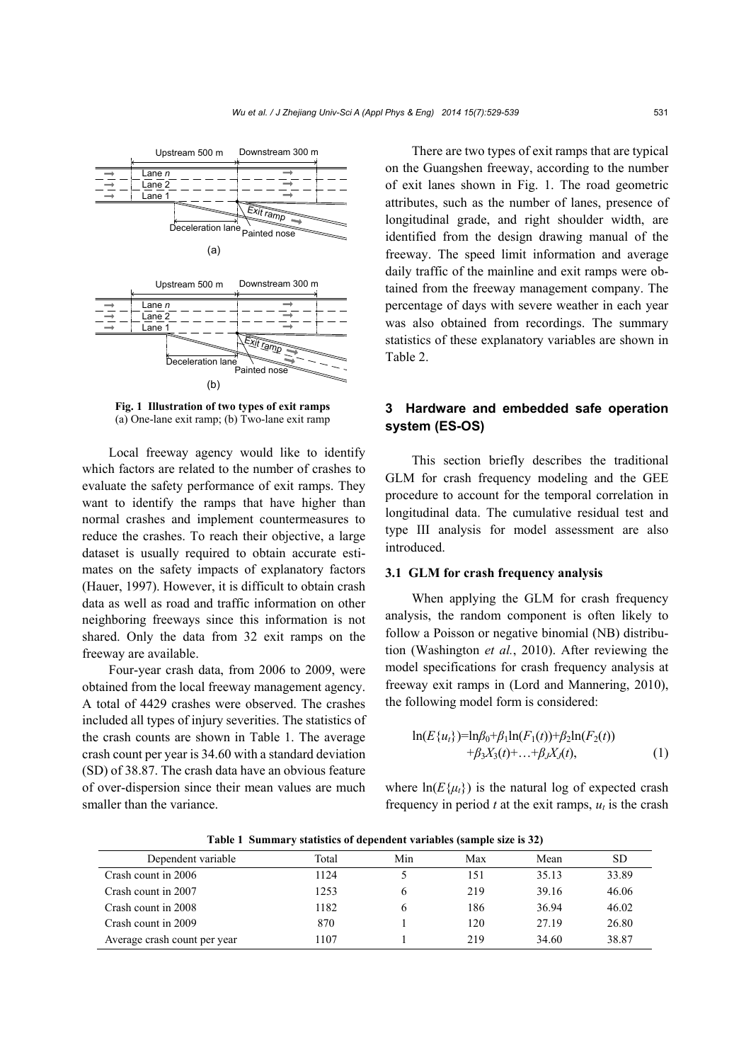

**Fig. 1 Illustration of two types of exit ramps**  (a) One-lane exit ramp; (b) Two-lane exit ramp

Local freeway agency would like to identify which factors are related to the number of crashes to evaluate the safety performance of exit ramps. They want to identify the ramps that have higher than normal crashes and implement countermeasures to reduce the crashes. To reach their objective, a large dataset is usually required to obtain accurate estimates on the safety impacts of explanatory factors (Hauer, 1997). However, it is difficult to obtain crash data as well as road and traffic information on other neighboring freeways since this information is not shared. Only the data from 32 exit ramps on the freeway are available.

Four-year crash data, from 2006 to 2009, were obtained from the local freeway management agency. A total of 4429 crashes were observed. The crashes included all types of injury severities. The statistics of the crash counts are shown in Table 1. The average crash count per year is 34.60 with a standard deviation (SD) of 38.87. The crash data have an obvious feature of over-dispersion since their mean values are much smaller than the variance.

There are two types of exit ramps that are typical on the Guangshen freeway, according to the number of exit lanes shown in Fig. 1. The road geometric attributes, such as the number of lanes, presence of longitudinal grade, and right shoulder width, are identified from the design drawing manual of the freeway. The speed limit information and average daily traffic of the mainline and exit ramps were obtained from the freeway management company. The percentage of days with severe weather in each year was also obtained from recordings. The summary statistics of these explanatory variables are shown in Table 2.

# **3 Hardware and embedded safe operation system (ES-OS)**

This section briefly describes the traditional GLM for crash frequency modeling and the GEE procedure to account for the temporal correlation in longitudinal data. The cumulative residual test and type III analysis for model assessment are also introduced.

#### **3.1 GLM for crash frequency analysis**

When applying the GLM for crash frequency analysis, the random component is often likely to follow a Poisson or negative binomial (NB) distribution (Washington *et al.*, 2010). After reviewing the model specifications for crash frequency analysis at freeway exit ramps in (Lord and Mannering, 2010), the following model form is considered:

$$
\ln(E\{u_t\}) = \ln \beta_0 + \beta_1 \ln(F_1(t)) + \beta_2 \ln(F_2(t)) + \beta_3 X_3(t) + \ldots + \beta_J X_J(t), \tag{1}
$$

where  $ln(E\{\mu_t\})$  is the natural log of expected crash frequency in period  $t$  at the exit ramps,  $u_t$  is the crash

| Dependent variable           | Total | Min | Max | Mean  | SD.   |  |
|------------------------------|-------|-----|-----|-------|-------|--|
| Crash count in 2006          | 1124  |     | 151 | 35.13 | 33.89 |  |
| Crash count in 2007          | 1253  |     | 219 | 39.16 | 46.06 |  |
| Crash count in 2008          | 1182  |     | 186 | 36.94 | 46.02 |  |
| Crash count in 2009          | 870   |     | 120 | 27.19 | 26.80 |  |
| Average crash count per year | 1107  |     | 219 | 34.60 | 38.87 |  |

**Table 1 Summary statistics of dependent variables (sample size is 32)**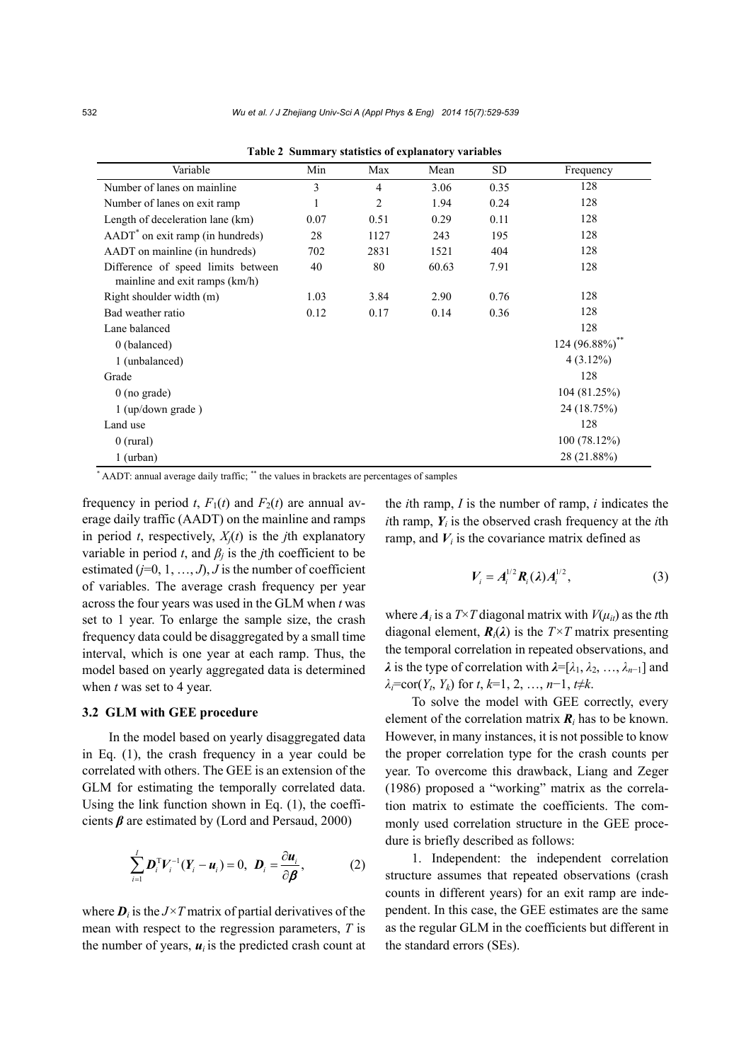| Variable                                                             | Min  | Max            | Mean  | <b>SD</b> | Frequency      |
|----------------------------------------------------------------------|------|----------------|-------|-----------|----------------|
| Number of lanes on mainline                                          | 3    | 4              | 3.06  | 0.35      | 128            |
| Number of lanes on exit ramp                                         |      | $\overline{2}$ | 1.94  | 0.24      | 128            |
| Length of deceleration lane (km)                                     | 0.07 | 0.51           | 0.29  | 0.11      | 128            |
| $AADT^*$ on exit ramp (in hundreds)                                  | 28   | 1127           | 243   | 195       | 128            |
| AADT on mainline (in hundreds)                                       | 702  | 2831           | 1521  | 404       | 128            |
| Difference of speed limits between<br>mainline and exit ramps (km/h) | 40   | 80             | 60.63 | 7.91      | 128            |
| Right shoulder width (m)                                             | 1.03 | 3.84           | 2.90  | 0.76      | 128            |
| Bad weather ratio                                                    | 0.12 | 0.17           | 0.14  | 0.36      | 128            |
| Lane balanced                                                        |      |                |       |           | 128            |
| 0 (balanced)                                                         |      |                |       |           | 124 (96.88%)** |
| 1 (unbalanced)                                                       |      |                |       |           | $4(3.12\%)$    |
| Grade                                                                |      |                |       |           | 128            |
| $0$ (no grade)                                                       |      |                |       |           | 104 (81.25%)   |
| $1$ (up/down grade)                                                  |      |                |       |           | 24 (18.75%)    |
| Land use                                                             |      |                |       |           | 128            |
| $0$ (rural)                                                          |      |                |       |           | 100(78.12%)    |
| $1$ (urban)                                                          |      |                |       |           | 28 (21.88%)    |

**Table 2 Summary statistics of explanatory variables** 

\* AADT: annual average daily traffic; \*\* the values in brackets are percentages of samples

frequency in period *t*,  $F_1(t)$  and  $F_2(t)$  are annual average daily traffic (AADT) on the mainline and ramps in period  $t$ , respectively,  $X_i(t)$  is the *j*th explanatory variable in period *t*, and  $\beta$ <sup>*j*</sup> is the *j*th coefficient to be estimated  $(j=0, 1, ..., J)$ , *J* is the number of coefficient of variables. The average crash frequency per year across the four years was used in the GLM when *t* was set to 1 year. To enlarge the sample size, the crash frequency data could be disaggregated by a small time interval, which is one year at each ramp. Thus, the model based on yearly aggregated data is determined when *t* was set to 4 year.

#### **3.2 GLM with GEE procedure**

In the model based on yearly disaggregated data in Eq. (1), the crash frequency in a year could be correlated with others. The GEE is an extension of the GLM for estimating the temporally correlated data. Using the link function shown in Eq. (1), the coefficients *β* are estimated by (Lord and Persaud, 2000)

$$
\sum_{i=1}^{I} \boldsymbol{D}_{i}^{\mathrm{T}} \boldsymbol{V}_{i}^{-1} (\boldsymbol{Y}_{i} - \boldsymbol{u}_{i}) = 0, \ \boldsymbol{D}_{i} = \frac{\partial \boldsymbol{u}_{i}}{\partial \boldsymbol{\beta}}, \tag{2}
$$

where  $D_i$  is the  $J \times T$  matrix of partial derivatives of the mean with respect to the regression parameters, *T* is the number of years,  $u_i$  is the predicted crash count at

the *i*th ramp, *I* is the number of ramp, *i* indicates the *i*th ramp, *Yi* is the observed crash frequency at the *i*th ramp, and  $V_i$  is the covariance matrix defined as

$$
V_i = A_i^{1/2} R_i(\lambda) A_i^{1/2}, \qquad (3)
$$

where  $A_i$  is a  $T \times T$  diagonal matrix with  $V(\mu_{ii})$  as the *t*th diagonal element,  $\mathbf{R}_i(\lambda)$  is the  $T \times T$  matrix presenting the temporal correlation in repeated observations, and *λ* is the type of correlation with  $λ = [λ₁, λ₂, …, λₙ-₁]$  and *λi*=cor(*Yt*, *Yk*) for *t*, *k*=1, 2, …, *n*−1, *t*≠*k*.

To solve the model with GEE correctly, every element of the correlation matrix  $\mathbf{R}_i$  has to be known. However, in many instances, it is not possible to know the proper correlation type for the crash counts per year. To overcome this drawback, Liang and Zeger (1986) proposed a "working" matrix as the correlation matrix to estimate the coefficients. The commonly used correlation structure in the GEE procedure is briefly described as follows:

1. Independent: the independent correlation structure assumes that repeated observations (crash counts in different years) for an exit ramp are independent. In this case, the GEE estimates are the same as the regular GLM in the coefficients but different in the standard errors (SEs).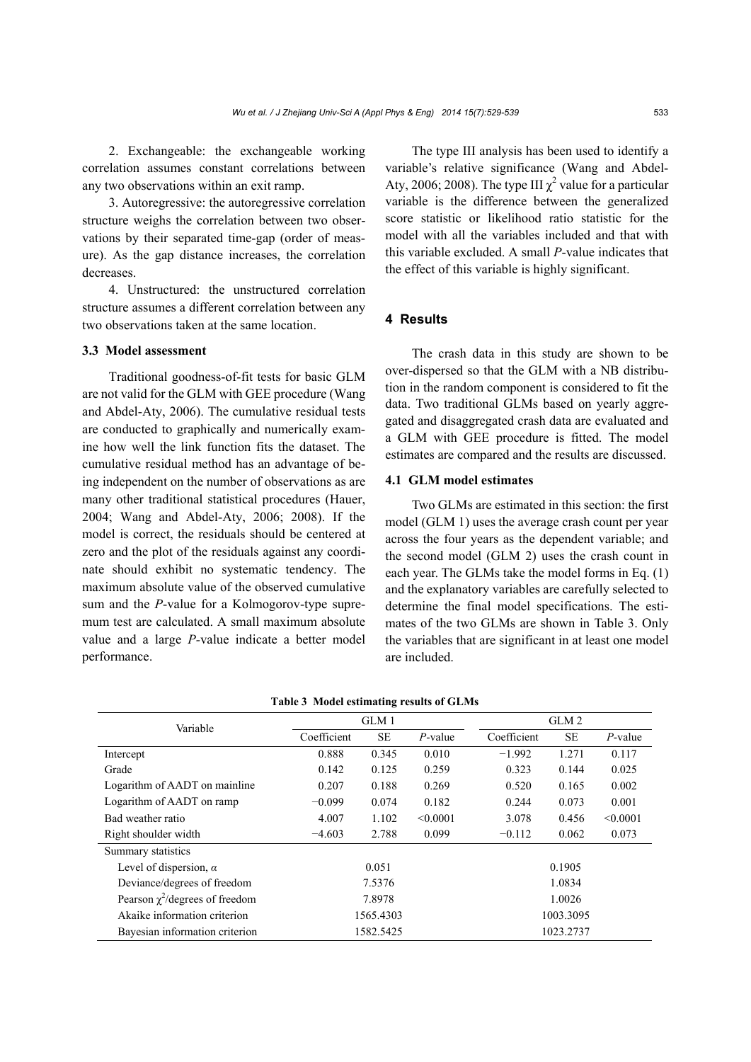2. Exchangeable: the exchangeable working correlation assumes constant correlations between any two observations within an exit ramp.

3. Autoregressive: the autoregressive correlation structure weighs the correlation between two observations by their separated time-gap (order of measure). As the gap distance increases, the correlation decreases.

4. Unstructured: the unstructured correlation structure assumes a different correlation between any two observations taken at the same location.

#### **3.3 Model assessment**

Traditional goodness-of-fit tests for basic GLM are not valid for the GLM with GEE procedure (Wang and Abdel-Aty, 2006). The cumulative residual tests are conducted to graphically and numerically examine how well the link function fits the dataset. The cumulative residual method has an advantage of being independent on the number of observations as are many other traditional statistical procedures (Hauer, 2004; Wang and Abdel-Aty, 2006; 2008). If the model is correct, the residuals should be centered at zero and the plot of the residuals against any coordinate should exhibit no systematic tendency. The maximum absolute value of the observed cumulative sum and the *P*-value for a Kolmogorov-type supremum test are calculated. A small maximum absolute value and a large *P-*value indicate a better model performance.

The type III analysis has been used to identify a variable's relative significance (Wang and Abdel-Aty, 2006; 2008). The type III  $\chi^2$  value for a particular variable is the difference between the generalized score statistic or likelihood ratio statistic for the model with all the variables included and that with this variable excluded. A small *P*-value indicates that the effect of this variable is highly significant.

#### **4 Results**

The crash data in this study are shown to be over-dispersed so that the GLM with a NB distribution in the random component is considered to fit the data. Two traditional GLMs based on yearly aggregated and disaggregated crash data are evaluated and a GLM with GEE procedure is fitted. The model estimates are compared and the results are discussed.

#### **4.1 GLM model estimates**

Two GLMs are estimated in this section: the first model (GLM 1) uses the average crash count per year across the four years as the dependent variable; and the second model (GLM 2) uses the crash count in each year. The GLMs take the model forms in Eq. (1) and the explanatory variables are carefully selected to determine the final model specifications. The estimates of the two GLMs are shown in Table 3. Only the variables that are significant in at least one model are included.

| The case commitment repairs of Omilia |                        |           |            |                  |           |            |  |  |
|---------------------------------------|------------------------|-----------|------------|------------------|-----------|------------|--|--|
| Variable                              |                        | GLM 1     |            | GLM <sub>2</sub> |           |            |  |  |
|                                       | Coefficient            | <b>SE</b> | $P$ -value | Coefficient      | <b>SE</b> | $P$ -value |  |  |
| Intercept                             | 0.888                  | 0.345     | 0.010      | $-1.992$         | 1.271     | 0.117      |  |  |
| Grade                                 | 0.142                  | 0.125     | 0.259      | 0.323            | 0.144     | 0.025      |  |  |
| Logarithm of AADT on mainline         | 0.207                  | 0.188     | 0.269      | 0.520            | 0.165     | 0.002      |  |  |
| Logarithm of AADT on ramp             | $-0.099$               | 0.074     | 0.182      | 0.244            | 0.073     | 0.001      |  |  |
| Bad weather ratio                     | 4.007                  | 1.102     | < 0.0001   | 3.078            | 0.456     | < 0.0001   |  |  |
| Right shoulder width                  | $-4.603$               | 2.788     | 0.099      | $-0.112$         | 0.062     | 0.073      |  |  |
| Summary statistics                    |                        |           |            |                  |           |            |  |  |
| Level of dispersion, $\alpha$         | 0.1905<br>0.051        |           |            |                  |           |            |  |  |
| Deviance/degrees of freedom           | 7.5376<br>1.0834       |           |            |                  |           |            |  |  |
| Pearson $\chi^2$ /degrees of freedom  | 1.0026<br>7.8978       |           |            |                  |           |            |  |  |
| Akaike information criterion          | 1565.4303<br>1003.3095 |           |            |                  |           |            |  |  |
| Bayesian information criterion        |                        | 1582.5425 |            |                  | 1023.2737 |            |  |  |

**Table 3 Model estimating results of GLMs**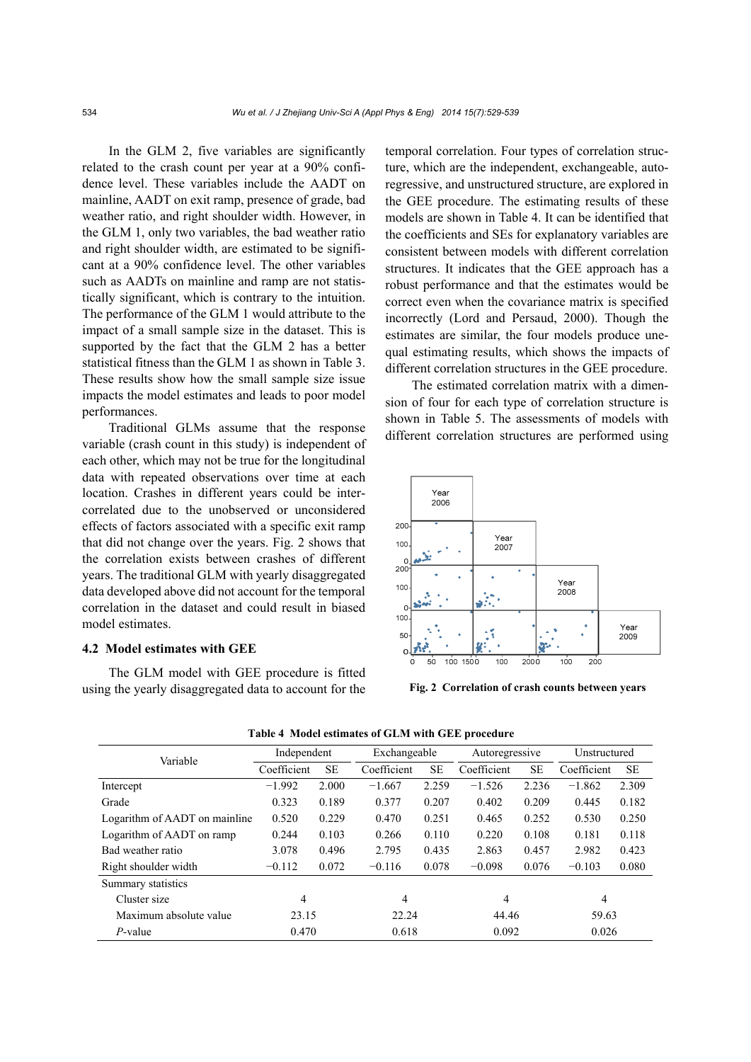In the GLM 2, five variables are significantly related to the crash count per year at a 90% confidence level. These variables include the AADT on mainline, AADT on exit ramp, presence of grade, bad weather ratio, and right shoulder width. However, in the GLM 1, only two variables, the bad weather ratio and right shoulder width, are estimated to be significant at a 90% confidence level. The other variables such as AADTs on mainline and ramp are not statistically significant, which is contrary to the intuition. The performance of the GLM 1 would attribute to the impact of a small sample size in the dataset. This is supported by the fact that the GLM 2 has a better statistical fitness than the GLM 1 as shown in Table 3. These results show how the small sample size issue impacts the model estimates and leads to poor model performances.

Traditional GLMs assume that the response variable (crash count in this study) is independent of each other, which may not be true for the longitudinal data with repeated observations over time at each location. Crashes in different years could be intercorrelated due to the unobserved or unconsidered effects of factors associated with a specific exit ramp that did not change over the years. Fig. 2 shows that the correlation exists between crashes of different years. The traditional GLM with yearly disaggregated data developed above did not account for the temporal correlation in the dataset and could result in biased model estimates.

#### **4.2 Model estimates with GEE**

The GLM model with GEE procedure is fitted using the yearly disaggregated data to account for the temporal correlation. Four types of correlation structure, which are the independent, exchangeable, autoregressive, and unstructured structure, are explored in the GEE procedure. The estimating results of these models are shown in Table 4. It can be identified that the coefficients and SEs for explanatory variables are consistent between models with different correlation structures. It indicates that the GEE approach has a robust performance and that the estimates would be correct even when the covariance matrix is specified incorrectly (Lord and Persaud, 2000). Though the estimates are similar, the four models produce unequal estimating results, which shows the impacts of different correlation structures in the GEE procedure.

The estimated correlation matrix with a dimension of four for each type of correlation structure is shown in Table 5. The assessments of models with different correlation structures are performed using



**Fig. 2 Correlation of crash counts between years**

| Table + <i>model</i> estimates of GERT with GEE procedure |             |                |             |              |             |                |             |              |  |
|-----------------------------------------------------------|-------------|----------------|-------------|--------------|-------------|----------------|-------------|--------------|--|
| Variable                                                  |             | Independent    |             | Exchangeable |             | Autoregressive |             | Unstructured |  |
|                                                           | Coefficient | <b>SE</b>      | Coefficient | <b>SE</b>    | Coefficient | <b>SE</b>      | Coefficient | <b>SE</b>    |  |
| Intercept                                                 | $-1.992$    | 2.000          | $-1.667$    | 2.259        | $-1.526$    | 2.236          | $-1.862$    | 2.309        |  |
| Grade                                                     | 0.323       | 0.189          | 0.377       | 0.207        | 0.402       | 0.209          | 0.445       | 0.182        |  |
| Logarithm of AADT on mainline                             | 0.520       | 0.229          | 0.470       | 0.251        | 0.465       | 0.252          | 0.530       | 0.250        |  |
| Logarithm of AADT on ramp                                 | 0.244       | 0.103          | 0.266       | 0.110        | 0.220       | 0.108          | 0.181       | 0.118        |  |
| Bad weather ratio                                         | 3.078       | 0.496          | 2.795       | 0.435        | 2.863       | 0.457          | 2.982       | 0.423        |  |
| Right shoulder width                                      | $-0.112$    | 0.072          | $-0.116$    | 0.078        | $-0.098$    | 0.076          | $-0.103$    | 0.080        |  |
| Summary statistics                                        |             |                |             |              |             |                |             |              |  |
| Cluster size                                              | 4           |                | 4           |              | 4           |                | 4           |              |  |
| Maximum absolute value                                    | 23.15       |                | 22.24       |              | 44.46       |                | 59.63       |              |  |
| $P$ -value                                                |             | 0.470<br>0.618 |             | 0.092        |             | 0.026          |             |              |  |

|  |  |  |  |  |  | Table 4 Model estimates of GLM with GEE procedure |
|--|--|--|--|--|--|---------------------------------------------------|
|--|--|--|--|--|--|---------------------------------------------------|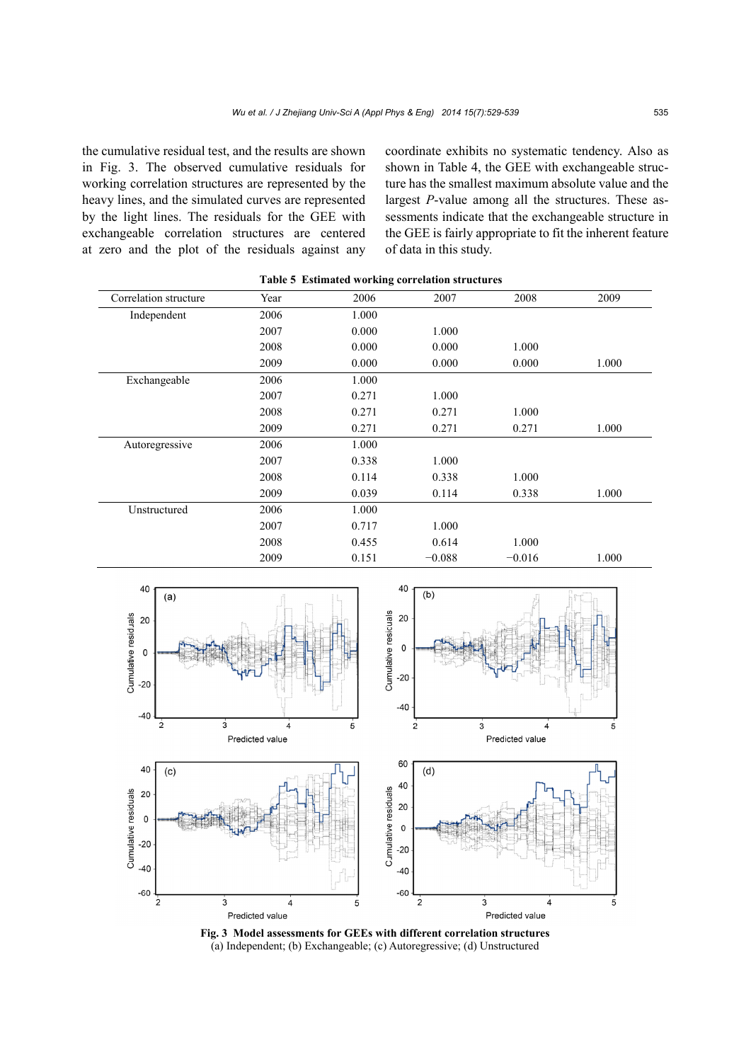the cumulative residual test, and the results are shown in Fig. 3. The observed cumulative residuals for working correlation structures are represented by the heavy lines, and the simulated curves are represented by the light lines. The residuals for the GEE with exchangeable correlation structures are centered at zero and the plot of the residuals against any coordinate exhibits no systematic tendency. Also as shown in Table 4, the GEE with exchangeable structure has the smallest maximum absolute value and the largest *P*-value among all the structures. These assessments indicate that the exchangeable structure in the GEE is fairly appropriate to fit the inherent feature of data in this study.

| Correlation structure | Year | 2006  | 2007     | 2008     | 2009  |
|-----------------------|------|-------|----------|----------|-------|
| Independent           | 2006 | 1.000 |          |          |       |
|                       | 2007 | 0.000 | 1.000    |          |       |
|                       | 2008 | 0.000 | 0.000    | 1.000    |       |
|                       | 2009 | 0.000 | 0.000    | 0.000    | 1.000 |
| Exchangeable          | 2006 | 1.000 |          |          |       |
|                       | 2007 | 0.271 | 1.000    |          |       |
|                       | 2008 | 0.271 | 0.271    | 1.000    |       |
|                       | 2009 | 0.271 | 0.271    | 0.271    | 1.000 |
| Autoregressive        | 2006 | 1.000 |          |          |       |
|                       | 2007 | 0.338 | 1.000    |          |       |
|                       | 2008 | 0.114 | 0.338    | 1.000    |       |
|                       | 2009 | 0.039 | 0.114    | 0.338    | 1.000 |
| Unstructured          | 2006 | 1.000 |          |          |       |
|                       | 2007 | 0.717 | 1.000    |          |       |
|                       | 2008 | 0.455 | 0.614    | 1.000    |       |
|                       | 2009 | 0.151 | $-0.088$ | $-0.016$ | 1.000 |

| Table 5 Estimated working correlation structures |  |  |  |
|--------------------------------------------------|--|--|--|
|--------------------------------------------------|--|--|--|



**Fig. 3 Model assessments for GEEs with different correlation structures**  (a) Independent; (b) Exchangeable; (c) Autoregressive; (d) Unstructured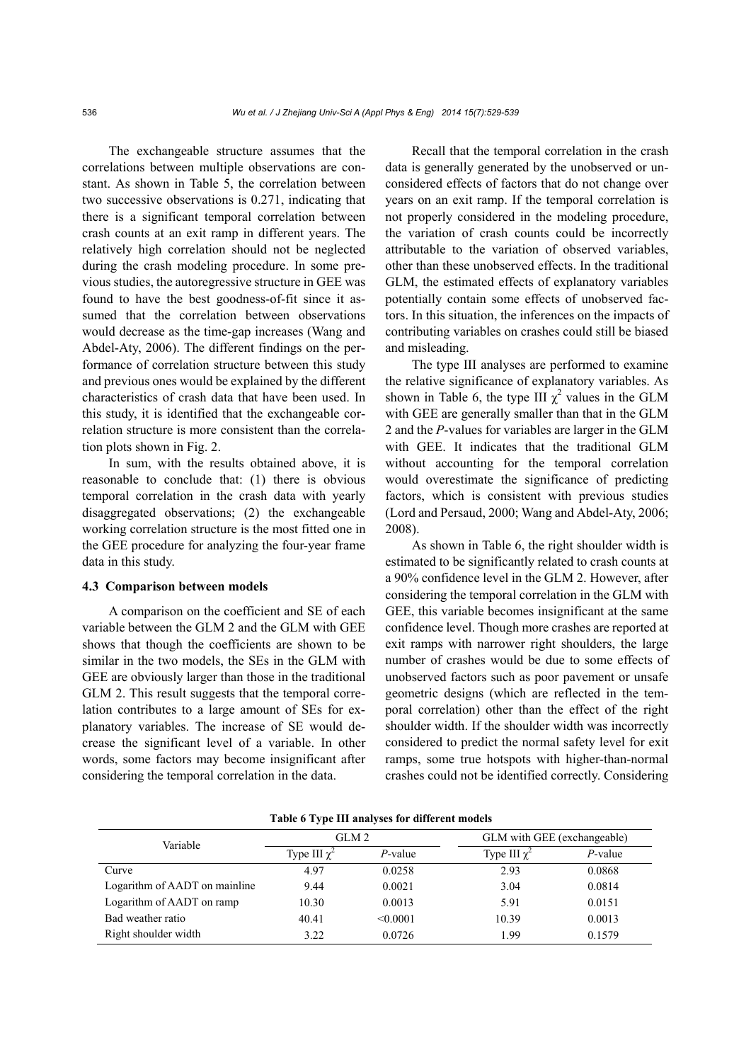The exchangeable structure assumes that the correlations between multiple observations are constant. As shown in Table 5, the correlation between two successive observations is 0.271, indicating that there is a significant temporal correlation between crash counts at an exit ramp in different years. The relatively high correlation should not be neglected during the crash modeling procedure. In some previous studies, the autoregressive structure in GEE was found to have the best goodness-of-fit since it assumed that the correlation between observations would decrease as the time-gap increases (Wang and Abdel-Aty, 2006). The different findings on the performance of correlation structure between this study and previous ones would be explained by the different characteristics of crash data that have been used. In this study, it is identified that the exchangeable correlation structure is more consistent than the correlation plots shown in Fig. 2.

In sum, with the results obtained above, it is reasonable to conclude that: (1) there is obvious temporal correlation in the crash data with yearly disaggregated observations; (2) the exchangeable working correlation structure is the most fitted one in the GEE procedure for analyzing the four-year frame data in this study.

#### **4.3 Comparison between models**

A comparison on the coefficient and SE of each variable between the GLM 2 and the GLM with GEE shows that though the coefficients are shown to be similar in the two models, the SEs in the GLM with GEE are obviously larger than those in the traditional GLM 2. This result suggests that the temporal correlation contributes to a large amount of SEs for explanatory variables. The increase of SE would decrease the significant level of a variable. In other words, some factors may become insignificant after considering the temporal correlation in the data.

Recall that the temporal correlation in the crash data is generally generated by the unobserved or unconsidered effects of factors that do not change over years on an exit ramp. If the temporal correlation is not properly considered in the modeling procedure, the variation of crash counts could be incorrectly attributable to the variation of observed variables, other than these unobserved effects. In the traditional GLM, the estimated effects of explanatory variables potentially contain some effects of unobserved factors. In this situation, the inferences on the impacts of contributing variables on crashes could still be biased and misleading.

The type III analyses are performed to examine the relative significance of explanatory variables. As shown in Table 6, the type III  $\chi^2$  values in the GLM with GEE are generally smaller than that in the GLM 2 and the *P*-values for variables are larger in the GLM with GEE. It indicates that the traditional GLM without accounting for the temporal correlation would overestimate the significance of predicting factors, which is consistent with previous studies (Lord and Persaud, 2000; Wang and Abdel-Aty, 2006; 2008).

As shown in Table 6, the right shoulder width is estimated to be significantly related to crash counts at a 90% confidence level in the GLM 2. However, after considering the temporal correlation in the GLM with GEE, this variable becomes insignificant at the same confidence level. Though more crashes are reported at exit ramps with narrower right shoulders, the large number of crashes would be due to some effects of unobserved factors such as poor pavement or unsafe geometric designs (which are reflected in the temporal correlation) other than the effect of the right shoulder width. If the shoulder width was incorrectly considered to predict the normal safety level for exit ramps, some true hotspots with higher-than-normal crashes could not be identified correctly. Considering

| Variable                      | GLM <sub>2</sub>  |            | GLM with GEE (exchangeable) |            |  |
|-------------------------------|-------------------|------------|-----------------------------|------------|--|
|                               | Type III $\chi^2$ | $P$ -value | Type III $\chi^2$           | $P$ -value |  |
| Curve                         | 4.97              | 0.0258     | 2.93                        | 0.0868     |  |
| Logarithm of AADT on mainline | 9.44              | 0.0021     | 3.04                        | 0.0814     |  |
| Logarithm of AADT on ramp     | 10.30             | 0.0013     | 5.91                        | 0.0151     |  |
| Bad weather ratio             | 40.41             | < 0.0001   | 10.39                       | 0.0013     |  |
| Right shoulder width          | 3.22              | 0.0726     | 1.99                        | 0.1579     |  |

#### **Table 6 Type III analyses for different models**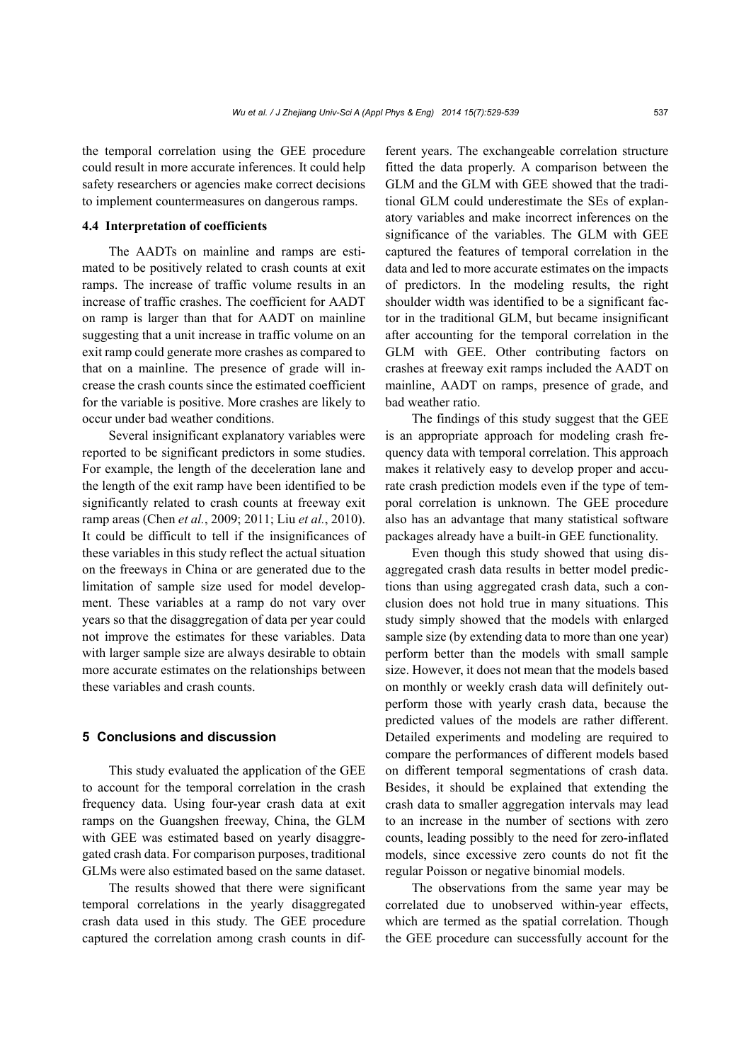the temporal correlation using the GEE procedure could result in more accurate inferences. It could help safety researchers or agencies make correct decisions to implement countermeasures on dangerous ramps.

### **4.4 Interpretation of coefficients**

The AADTs on mainline and ramps are estimated to be positively related to crash counts at exit ramps. The increase of traffic volume results in an increase of traffic crashes. The coefficient for AADT on ramp is larger than that for AADT on mainline suggesting that a unit increase in traffic volume on an exit ramp could generate more crashes as compared to that on a mainline. The presence of grade will increase the crash counts since the estimated coefficient for the variable is positive. More crashes are likely to occur under bad weather conditions.

Several insignificant explanatory variables were reported to be significant predictors in some studies. For example, the length of the deceleration lane and the length of the exit ramp have been identified to be significantly related to crash counts at freeway exit ramp areas (Chen *et al.*, 2009; 2011; Liu *et al.*, 2010). It could be difficult to tell if the insignificances of these variables in this study reflect the actual situation on the freeways in China or are generated due to the limitation of sample size used for model development. These variables at a ramp do not vary over years so that the disaggregation of data per year could not improve the estimates for these variables. Data with larger sample size are always desirable to obtain more accurate estimates on the relationships between these variables and crash counts.

### **5 Conclusions and discussion**

This study evaluated the application of the GEE to account for the temporal correlation in the crash frequency data. Using four-year crash data at exit ramps on the Guangshen freeway, China, the GLM with GEE was estimated based on yearly disaggregated crash data. For comparison purposes, traditional GLMs were also estimated based on the same dataset.

The results showed that there were significant temporal correlations in the yearly disaggregated crash data used in this study. The GEE procedure captured the correlation among crash counts in different years. The exchangeable correlation structure fitted the data properly. A comparison between the GLM and the GLM with GEE showed that the traditional GLM could underestimate the SEs of explanatory variables and make incorrect inferences on the significance of the variables. The GLM with GEE captured the features of temporal correlation in the data and led to more accurate estimates on the impacts of predictors. In the modeling results, the right shoulder width was identified to be a significant factor in the traditional GLM, but became insignificant after accounting for the temporal correlation in the GLM with GEE. Other contributing factors on crashes at freeway exit ramps included the AADT on mainline, AADT on ramps, presence of grade, and bad weather ratio.

The findings of this study suggest that the GEE is an appropriate approach for modeling crash frequency data with temporal correlation. This approach makes it relatively easy to develop proper and accurate crash prediction models even if the type of temporal correlation is unknown. The GEE procedure also has an advantage that many statistical software packages already have a built-in GEE functionality.

Even though this study showed that using disaggregated crash data results in better model predictions than using aggregated crash data, such a conclusion does not hold true in many situations. This study simply showed that the models with enlarged sample size (by extending data to more than one year) perform better than the models with small sample size. However, it does not mean that the models based on monthly or weekly crash data will definitely outperform those with yearly crash data, because the predicted values of the models are rather different. Detailed experiments and modeling are required to compare the performances of different models based on different temporal segmentations of crash data. Besides, it should be explained that extending the crash data to smaller aggregation intervals may lead to an increase in the number of sections with zero counts, leading possibly to the need for zero-inflated models, since excessive zero counts do not fit the regular Poisson or negative binomial models.

The observations from the same year may be correlated due to unobserved within-year effects, which are termed as the spatial correlation. Though the GEE procedure can successfully account for the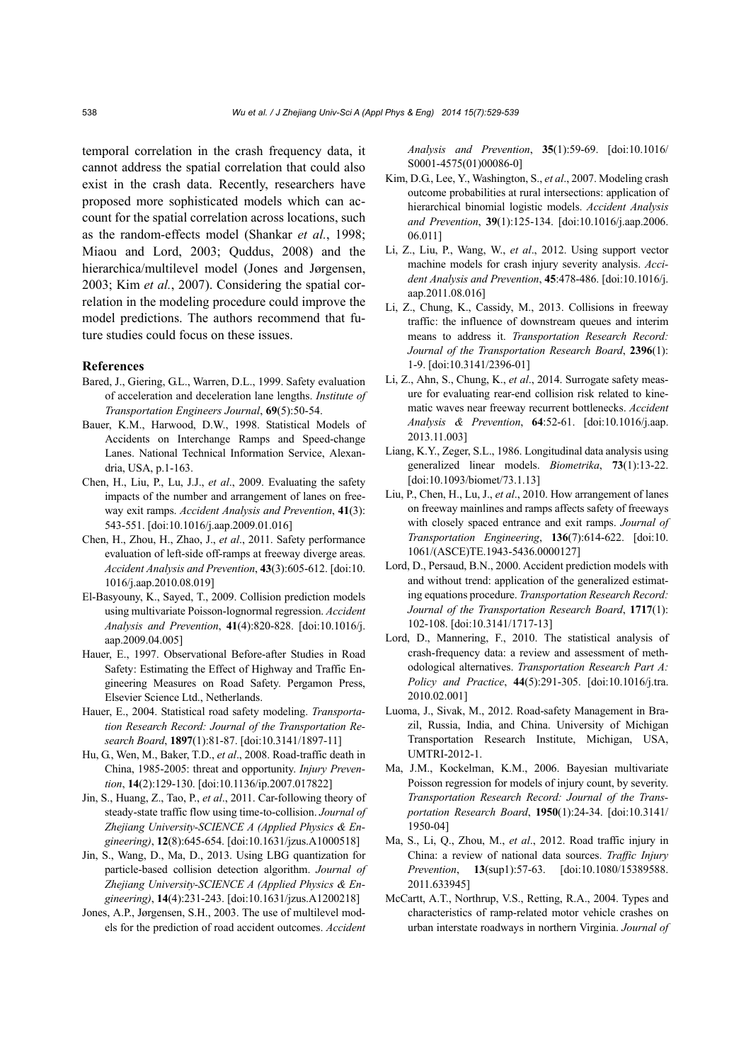temporal correlation in the crash frequency data, it cannot address the spatial correlation that could also exist in the crash data. Recently, researchers have proposed more sophisticated models which can account for the spatial correlation across locations, such as the random-effects model (Shankar *et al.*, 1998; Miaou and Lord, 2003; Quddus, 2008) and the hierarchica/multilevel model (Jones and Jørgensen, 2003; Kim *et al.*, 2007). Considering the spatial correlation in the modeling procedure could improve the model predictions. The authors recommend that future studies could focus on these issues.

#### **References**

- Bared, J., Giering, G.L., Warren, D.L., 1999. Safety evaluation of acceleration and deceleration lane lengths. *Institute of Transportation Engineers Journal*, **69**(5):50-54.
- Bauer, K.M., Harwood, D.W., 1998. Statistical Models of Accidents on Interchange Ramps and Speed-change Lanes. National Technical Information Service, Alexandria, USA, p.1-163.
- Chen, H., Liu, P., Lu, J.J., *et al*., 2009. Evaluating the safety impacts of the number and arrangement of lanes on freeway exit ramps. *Accident Analysis and Prevention*, **41**(3): 543-551. [doi:10.1016/j.aap.2009.01.016]
- Chen, H., Zhou, H., Zhao, J., *et al*., 2011. Safety performance evaluation of left-side off-ramps at freeway diverge areas. *Accident Analysis and Prevention*, **43**(3):605-612. [doi:10. 1016/j.aap.2010.08.019]
- El-Basyouny, K., Sayed, T., 2009. Collision prediction models using multivariate Poisson-lognormal regression. *Accident Analysis and Prevention*, **41**(4):820-828. [doi:10.1016/j. aap.2009.04.005]
- Hauer, E., 1997. Observational Before-after Studies in Road Safety: Estimating the Effect of Highway and Traffic Engineering Measures on Road Safety. Pergamon Press, Elsevier Science Ltd., Netherlands.
- Hauer, E., 2004. Statistical road safety modeling. *Transportation Research Record: Journal of the Transportation Research Board*, **1897**(1):81-87. [doi:10.3141/1897-11]
- Hu, G., Wen, M., Baker, T.D., *et al*., 2008. Road-traffic death in China, 1985-2005: threat and opportunity. *Injury Prevention*, **14**(2):129-130. [doi:10.1136/ip.2007.017822]
- Jin, S., Huang, Z., Tao, P., *et al*., 2011. Car-following theory of steady-state traffic flow using time-to-collision. *Journal of Zhejiang University-SCIENCE A (Applied Physics & Engineering)*, **12**(8):645-654. [doi:10.1631/jzus.A1000518]
- Jin, S., Wang, D., Ma, D., 2013. Using LBG quantization for particle-based collision detection algorithm. *Journal of Zhejiang University-SCIENCE A (Applied Physics & Engineering)*, **14**(4):231-243. [doi:10.1631/jzus.A1200218]
- Jones, A.P., Jørgensen, S.H., 2003. The use of multilevel models for the prediction of road accident outcomes. *Accident*

*Analysis and Prevention*, **35**(1):59-69. [doi:10.1016/ S0001-4575(01)00086-0]

- Kim, D.G., Lee, Y., Washington, S., *et al*., 2007. Modeling crash outcome probabilities at rural intersections: application of hierarchical binomial logistic models. *Accident Analysis and Prevention*, **39**(1):125-134. [doi:10.1016/j.aap.2006. 06.011]
- Li, Z., Liu, P., Wang, W., *et al*., 2012. Using support vector machine models for crash injury severity analysis. *Accident Analysis and Prevention*, **45**:478-486. [doi:10.1016/j. aap.2011.08.016]
- Li, Z., Chung, K., Cassidy, M., 2013. Collisions in freeway traffic: the influence of downstream queues and interim means to address it. *Transportation Research Record: Journal of the Transportation Research Board*, **2396**(1): 1-9. [doi:10.3141/2396-01]
- Li, Z., Ahn, S., Chung, K., *et al*., 2014. Surrogate safety measure for evaluating rear-end collision risk related to kinematic waves near freeway recurrent bottlenecks. *Accident Analysis & Prevention*, **64**:52-61. [doi:10.1016/j.aap. 2013.11.003]
- Liang, K.Y., Zeger, S.L., 1986. Longitudinal data analysis using generalized linear models. *Biometrika*, **73**(1):13-22. [doi:10.1093/biomet/73.1.13]
- Liu, P., Chen, H., Lu, J., *et al*., 2010. How arrangement of lanes on freeway mainlines and ramps affects safety of freeways with closely spaced entrance and exit ramps. *Journal of Transportation Engineering*, **136**(7):614-622. [doi:10. 1061/(ASCE)TE.1943-5436.0000127]
- Lord, D., Persaud, B.N., 2000. Accident prediction models with and without trend: application of the generalized estimating equations procedure. *Transportation Research Record: Journal of the Transportation Research Board*, **1717**(1): 102-108. [doi:10.3141/1717-13]
- Lord, D., Mannering, F., 2010. The statistical analysis of crash-frequency data: a review and assessment of methodological alternatives. *Transportation Research Part A: Policy and Practice*, **44**(5):291-305. [doi:10.1016/j.tra. 2010.02.001]
- Luoma, J., Sivak, M., 2012. Road-safety Management in Brazil, Russia, India, and China. University of Michigan Transportation Research Institute, Michigan, USA, UMTRI-2012-1.
- Ma, J.M., Kockelman, K.M., 2006. Bayesian multivariate Poisson regression for models of injury count, by severity. *Transportation Research Record: Journal of the Transportation Research Board*, **1950**(1):24-34. [doi:10.3141/ 1950-04]
- Ma, S., Li, Q., Zhou, M., *et al*., 2012. Road traffic injury in China: a review of national data sources. *Traffic Injury Prevention*, **13**(sup1):57-63. [doi:10.1080/15389588. 2011.633945]
- McCartt, A.T., Northrup, V.S., Retting, R.A., 2004. Types and characteristics of ramp-related motor vehicle crashes on urban interstate roadways in northern Virginia. *Journal of*